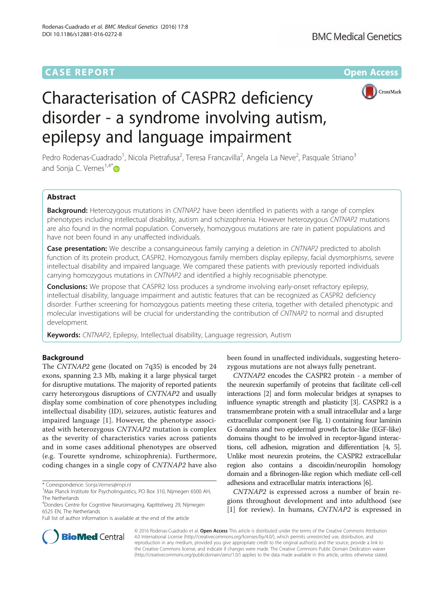# **CASE REPORT CASE REPORT CASE ACCESS**



# Characterisation of CASPR2 deficiency disorder - a syndrome involving autism, epilepsy and language impairment

Pedro Rodenas-Cuadrado<sup>1</sup>, Nicola Pietrafusa<sup>2</sup>, Teresa Francavilla<sup>2</sup>, Angela La Neve<sup>2</sup>, Pasquale Striano<sup>3</sup> and Sonja C. Vernes<sup>1,4\*</sup> $\bullet$ 

## Abstract

Background: Heterozygous mutations in CNTNAP2 have been identified in patients with a range of complex phenotypes including intellectual disability, autism and schizophrenia. However heterozygous CNTNAP2 mutations are also found in the normal population. Conversely, homozygous mutations are rare in patient populations and have not been found in any unaffected individuals.

**Case presentation:** We describe a consanguineous family carrying a deletion in CNTNAP2 predicted to abolish function of its protein product, CASPR2. Homozygous family members display epilepsy, facial dysmorphisms, severe intellectual disability and impaired language. We compared these patients with previously reported individuals carrying homozygous mutations in CNTNAP2 and identified a highly recognisable phenotype.

**Conclusions:** We propose that CASPR2 loss produces a syndrome involving early-onset refractory epilepsy, intellectual disability, language impairment and autistic features that can be recognized as CASPR2 deficiency disorder. Further screening for homozygous patients meeting these criteria, together with detailed phenotypic and molecular investigations will be crucial for understanding the contribution of CNTNAP2 to normal and disrupted development.

Keywords: CNTNAP2, Epilepsy, Intellectual disability, Language regression, Autism

### Background

The CNTNAP2 gene (located on 7q35) is encoded by 24 exons, spanning 2.3 Mb, making it a large physical target for disruptive mutations. The majority of reported patients carry heterozygous disruptions of CNTNAP2 and usually display some combination of core phenotypes including intellectual disability (ID), seizures, autistic features and impaired language [\[1](#page-5-0)]. However, the phenotype associated with heterozygous CNTNAP2 mutation is complex as the severity of characteristics varies across patients and in some cases additional phenotypes are observed (e.g. Tourette syndrome, schizophrenia). Furthermore, coding changes in a single copy of CNTNAP2 have also

\* Correspondence: [Sonja.Vernes@mpi.nl](mailto:Sonja.Vernes@mpi.nl) <sup>1</sup>

4 Donders Centre for Cognitive Neuroimaging, Kapittelweg 29, Nijmegen 6525 EN, The Netherlands

Full list of author information is available at the end of the article

been found in unaffected individuals, suggesting heterozygous mutations are not always fully penetrant.

CNTNAP2 encodes the CASPR2 protein - a member of the neurexin superfamily of proteins that facilitate cell-cell interactions [[2](#page-5-0)] and form molecular bridges at synapses to influence synaptic strength and plasticity [\[3\]](#page-5-0). CASPR2 is a transmembrane protein with a small intracellular and a large extracellular component (see Fig. [1\)](#page-1-0) containing four laminin G domains and two epidermal growth factor-like (EGF-like) domains thought to be involved in receptor-ligand interactions, cell adhesion, migration and differentiation [[4](#page-5-0), [5](#page-5-0)]. Unlike most neurexin proteins, the CASPR2 extracellular region also contains a discoidin/neuropilin homology domain and a fibrinogen-like region which mediate cell-cell adhesions and extracellular matrix interactions [\[6\]](#page-5-0).

CNTNAP2 is expressed across a number of brain regions throughout development and into adulthood (see [[1\]](#page-5-0) for review). In humans, *CNTNAP2* is expressed in



© 2016 Rodenas-Cuadrado et al. Open Access This article is distributed under the terms of the Creative Commons Attribution 4.0 International License ([http://creativecommons.org/licenses/by/4.0/\)](http://creativecommons.org/licenses/by/4.0/), which permits unrestricted use, distribution, and reproduction in any medium, provided you give appropriate credit to the original author(s) and the source, provide a link to the Creative Commons license, and indicate if changes were made. The Creative Commons Public Domain Dedication waiver [\(http://creativecommons.org/publicdomain/zero/1.0/](http://creativecommons.org/publicdomain/zero/1.0/)) applies to the data made available in this article, unless otherwise stated.

<sup>&</sup>lt;sup>1</sup>Max Planck Institute for Psycholinguistics, PO Box 310, Nijmegen 6500 AH, The Netherlands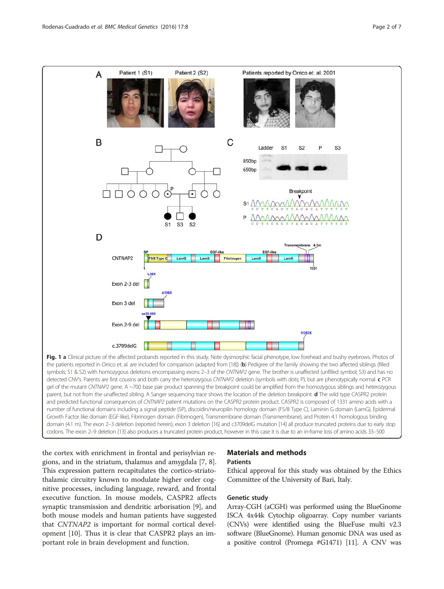<span id="page-1-0"></span>

the patients reported in Orrico et. al. are included for comparison (adapted from [\[18\]](#page--1-0)) (b) Pedigree of the family showing the two affected siblings (filled symbols; S1 & S2) with homozygous deletions encompassing exons 2-3 of the CNTNAP2 gene. The brother is unaffected (unfilled symbol; S3) and has no detected CNV's. Parents are first cousins and both carry the heterozygous CNTNAP2 deletion (symbols with dots; P), but are phenotypically normal. c PCR gel of the mutant CNTNAP2 gene. A ~700 base pair product spanning the breakpoint could be amplified from the homozygous siblings and heterozygous parent, but not from the unaffected sibling. A Sanger sequencing trace shows the location of the deletion breakpoint. d The wild type CASPR2 protein and predicted functional consequences of CNTNAP2 patient mutations on the CASPR2 protein product. CASPR2 is composed of 1331 amino acids with a number of functional domains including a signal peptide (SP), discoidin/neuropilin homology domain (F5/8 Type C), Laminin G domain (LamG), Epidermal Growth Factor like domain (EGF-like), Fibrinogen domain (Fibrinogen), Transmembrane domain (Transmembrane), and Protein 4.1 homologous binding domain (4.1 m). The exon 2–3 deletion (reported herein), exon 3 deletion [\[16](#page-5-0)] and c3709delG mutation [[14\]](#page-5-0) all produce truncated proteins due to early stop codons. The exon 2–9 deletion [[13\]](#page-5-0) also produces a truncated protein product, however in this case it is due to an in-frame loss of amino acids 33–500

the cortex with enrichment in frontal and perisylvian regions, and in the striatum, thalamus and amygdala [\[7](#page-5-0), [8](#page-5-0)]. This expression pattern recapitulates the cortico-striatothalamic circuitry known to modulate higher order cognitive processes, including language, reward, and frontal executive function. In mouse models, CASPR2 affects synaptic transmission and dendritic arborisation [\[9\]](#page-5-0), and both mouse models and human patients have suggested that CNTNAP2 is important for normal cortical development [[10\]](#page-5-0). Thus it is clear that CASPR2 plays an important role in brain development and function.

#### Materials and methods **Patients**

Ethical approval for this study was obtained by the Ethics Committee of the University of Bari, Italy.

#### Genetic study

Array-CGH (aCGH) was performed using the BlueGnome ISCA 4x44k Cytochip oligoarray. Copy number variants (CNVs) were identified using the BlueFuse multi v2.3 software (BlueGnome). Human genomic DNA was used as a positive control (Promega #G1471) [[11](#page-5-0)]. A CNV was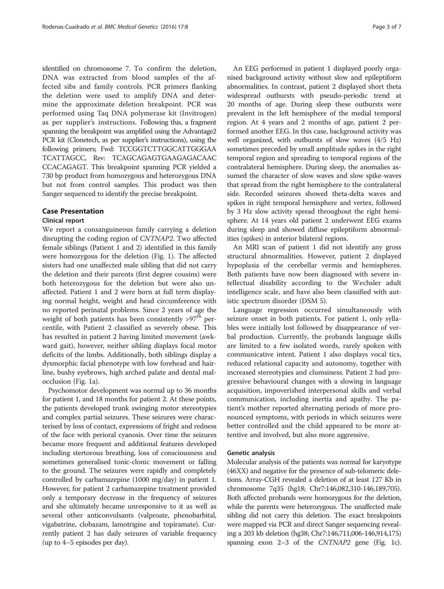identified on chromosome 7. To confirm the deletion, DNA was extracted from blood samples of the affected sibs and family controls. PCR primers flanking the deletion were used to amplify DNA and determine the approximate deletion breakpoint. PCR was performed using Taq DNA polymerase kit (Invitrogen) as per supplier's instructions. Following this, a fragment spanning the breakpoint was amplified using the Advantage2 PCR kit (Clonetech, as per supplier's instructions), using the following primers; Fwd: TCCGGTCTTGGCATTGGGAA TCATTAGCC, Rev: TCAGCAGAGTGAAGAGACAAC CCACAGAGT. This breakpoint spanning PCR yielded a 730 bp product from homozygous and heterozygous DNA but not from control samples. This product was then Sanger sequenced to identify the precise breakpoint.

#### Case Presentation

#### Clinical report

We report a consanguineous family carrying a deletion disrupting the coding region of CNTNAP2. Two affected female siblings (Patient 1 and 2) identified in this family were homozygous for the deletion (Fig. [1\)](#page-1-0). The affected sisters had one unaffected male sibling that did not carry the deletion and their parents (first degree cousins) were both heterozygous for the deletion but were also unaffected. Patient 1 and 2 were born at full term displaying normal height, weight and head circumference with no reported perinatal problems. Since 2 years of age the weight of both patients has been consistently  $>97<sup>th</sup>$  percentile, with Patient 2 classified as severely obese. This has resulted in patient 2 having limited movement (awkward gait), however, neither sibling displays focal motor deficits of the limbs. Additionally, both siblings display a dysmorphic facial phenotype with low forehead and hairline, bushy eyebrows, high arched palate and dental malocclusion (Fig. [1a](#page-1-0)).

Psychomotor development was normal up to 36 months for patient 1, and 18 months for patient 2. At these points, the patients developed trunk swinging motor stereotypies and complex partial seizures. These seizures were characterised by loss of contact, expressions of fright and redness of the face with perioral cyanosis. Over time the seizures became more frequent and additional features developed including stertorous breathing, loss of consciousness and sometimes generalised tonic-clonic movement or falling to the ground. The seizures were rapidly and completely controlled by carbamazepine (1000 mg/day) in patient 1. However, for patient 2 carbamazepine treatment provided only a temporary decrease in the frequency of seizures and she ultimately became unresponsive to it as well as several other anticonvulsants (valproate, phenobarbital, vigabatrine, clobazam, lamotrigine and topiramate). Currently patient 2 has daily seizures of variable frequency (up to 4–5 episodes per day).

An EEG performed in patient 1 displayed poorly organised background activity without slow and epileptiform abnormalities. In contrast, patient 2 displayed short theta widespread outbursts with pseudo-periodic trend at 20 months of age. During sleep these outbursts were prevalent in the left hemisphere of the medial temporal region. At 4 years and 2 months of age, patient 2 performed another EEG. In this case, background activity was well organized, with outbursts of slow waves (4/5 Hz) sometimes preceded by small amplitude spikes in the right temporal region and spreading to temporal regions of the contralateral hemisphere. During sleep, the anomalies assumed the character of slow waves and slow spike-waves that spread from the right hemisphere to the contralateral side. Recorded seizures showed theta-delta waves and spikes in right temporal hemisphere and vertex, followed by 3 Hz slow activity spread throughout the right hemisphere. At 14 years old patient 2 underwent EEG exams during sleep and showed diffuse epileptiform abnormalities (spikes) in anterior bilateral regions.

An MRI scan of patient 1 did not identify any gross structural abnormalities. However, patient 2 displayed hypoplasia of the cerebellar vermis and hemispheres. Both patients have now been diagnosed with severe intellectual disability according to the Wechsler adult intelligence scale, and have also been classified with autistic spectrum disorder (DSM 5).

Language regression occurred simultaneously with seizure onset in both patients. For patient 1, only syllables were initially lost followed by disappearance of verbal production. Currently, the probands language skills are limited to a few isolated words, rarely spoken with communicative intent. Patient 1 also displays vocal tics, reduced relational capacity and autonomy, together with increased stereotypies and clumsiness. Patient 2 had progressive behavioural changes with a slowing in language acquisition, impoverished interpersonal skills and verbal communication, including inertia and apathy. The patient's mother reported alternating periods of more pronounced symptoms, with periods in which seizures were better controlled and the child appeared to be more attentive and involved, but also more aggressive.

#### Genetic analysis

Molecular analysis of the patients was normal for karyotype (46XX) and negative for the presence of sub-telomeric deletions. Array-CGH revealed a deletion of at least 127 Kb in chromosome 7q35 (hg18; Chr7:146,082,310-146,189,705). Both affected probands were homozygous for the deletion, while the parents were heterozygous. The unaffected male sibling did not carry this deletion. The exact breakpoints were mapped via PCR and direct Sanger sequencing revealing a 203 kb deletion (hg38; Chr7:146,711,006-146,914,175) spanning exon 2–3 of the CNTNAP2 gene (Fig. [1c\)](#page-1-0).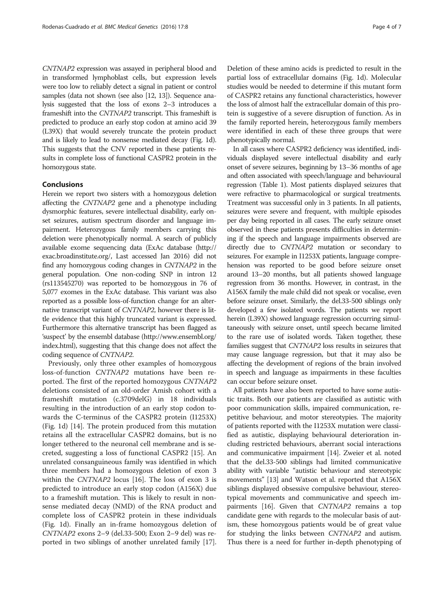CNTNAP2 expression was assayed in peripheral blood and in transformed lymphoblast cells, but expression levels were too low to reliably detect a signal in patient or control samples (data not shown (see also [\[12](#page-5-0), [13\]](#page-5-0)). Sequence analysis suggested that the loss of exons 2–3 introduces a frameshift into the CNTNAP2 transcript. This frameshift is predicted to produce an early stop codon at amino acid 39 (L39X) that would severely truncate the protein product and is likely to lead to nonsense mediated decay (Fig. [1d](#page-1-0)). This suggests that the CNV reported in these patients results in complete loss of functional CASPR2 protein in the homozygous state.

#### Conclusions

Herein we report two sisters with a homozygous deletion affecting the CNTNAP2 gene and a phenotype including dysmorphic features, severe intellectual disability, early onset seizures, autism spectrum disorder and language impairment. Heterozygous family members carrying this deletion were phenotypically normal. A search of publicly available exome sequencing data (ExAc database [\(http://](http://exac.broadinstitute.org/) [exac.broadinstitute.org/,](http://exac.broadinstitute.org/) Last accessed Jan 2016) did not find any homozygous coding changes in CNTNAP2 in the general population. One non-coding SNP in intron 12 (rs113545270) was reported to be homozygous in 76 of 5,077 exomes in the ExAc database. This variant was also reported as a possible loss-of-function change for an alternative transcript variant of CNTNAP2, however there is little evidence that this highly truncated variant is expressed. Furthermore this alternative transcript has been flagged as 'suspect' by the ensembl database ([http://www.ensembl.org/](http://www.ensembl.org/index.html) [index.html\)](http://www.ensembl.org/index.html), suggesting that this change does not affect the coding sequence of CNTNAP2.

Previously, only three other examples of homozygous loss-of-function CNTNAP2 mutations have been reported. The first of the reported homozygous CNTNAP2 deletions consisted of an old-order Amish cohort with a frameshift mutation (c.3709delG) in 18 individuals resulting in the introduction of an early stop codon towards the C-terminus of the CASPR2 protein (I1253X) (Fig. [1d](#page-1-0)) [[14\]](#page-5-0). The protein produced from this mutation retains all the extracellular CASPR2 domains, but is no longer tethered to the neuronal cell membrane and is secreted, suggesting a loss of functional CASPR2 [\[15](#page-5-0)]. An unrelated consanguineous family was identified in which three members had a homozygous deletion of exon 3 within the CNTNAP2 locus [[16](#page-5-0)]. The loss of exon 3 is predicted to introduce an early stop codon (A156X) due to a frameshift mutation. This is likely to result in nonsense mediated decay (NMD) of the RNA product and complete loss of CASPR2 protein in these individuals (Fig. [1d\)](#page-1-0). Finally an in-frame homozygous deletion of CNTNAP2 exons 2–9 (del.33-500; Exon 2–9 del) was reported in two siblings of another unrelated family [\[17](#page--1-0)].

Deletion of these amino acids is predicted to result in the partial loss of extracellular domains (Fig. [1d](#page-1-0)). Molecular studies would be needed to determine if this mutant form of CASPR2 retains any functional characteristics, however the loss of almost half the extracellular domain of this protein is suggestive of a severe disruption of function. As in the family reported herein, heterozygous family members were identified in each of these three groups that were phenotypically normal.

In all cases where CASPR2 deficiency was identified, individuals displayed severe intellectual disability and early onset of severe seizures, beginning by 13–36 months of age and often associated with speech/language and behavioural regression (Table [1\)](#page-4-0). Most patients displayed seizures that were refractive to pharmacological or surgical treatments. Treatment was successful only in 3 patients. In all patients, seizures were severe and frequent, with multiple episodes per day being reported in all cases. The early seizure onset observed in these patients presents difficulties in determining if the speech and language impairments observed are directly due to CNTNAP2 mutation or secondary to seizures. For example in I1253X patients, language comprehension was reported to be good before seizure onset around 13–20 months, but all patients showed language regression from 36 months. However, in contrast, in the A156X family the male child did not speak or vocalise, even before seizure onset. Similarly, the del.33-500 siblings only developed a few isolated words. The patients we report herein (L39X) showed language regression occurring simultaneously with seizure onset, until speech became limited to the rare use of isolated words. Taken together, these families suggest that CNTNAP2 loss results in seizures that may cause language regression, but that it may also be affecting the development of regions of the brain involved in speech and language as impairments in these faculties can occur before seizure onset.

All patients have also been reported to have some autistic traits. Both our patients are classified as autistic with poor communication skills, impaired communication, repetitive behaviour, and motor stereotypies. The majority of patients reported with the I1253X mutation were classified as autistic, displaying behavioural deterioration including restricted behaviours, aberrant social interactions and communicative impairment [\[14\]](#page-5-0). Zweier et al. noted that the del.33-500 siblings had limited communicative ability with variable "autistic behaviour and stereotypic movements" [\[13\]](#page-5-0) and Watson et al. reported that A156X siblings displayed obsessive compulsive behaviour, stereotypical movements and communicative and speech im-pairments [\[16\]](#page-5-0). Given that CNTNAP2 remains a top candidate gene with regards to the molecular basis of autism, these homozygous patients would be of great value for studying the links between CNTNAP2 and autism. Thus there is a need for further in-depth phenotyping of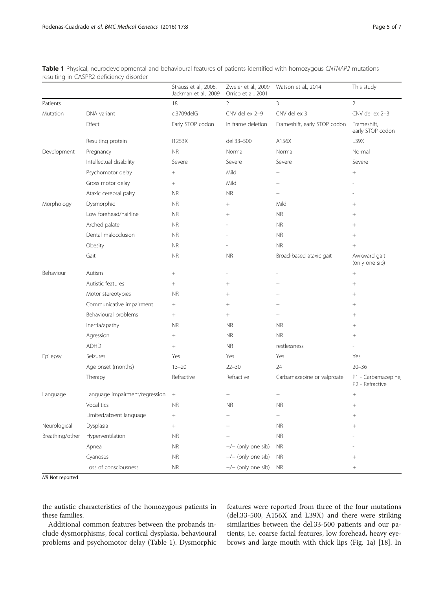|                 |                                | Strauss et al., 2006,<br>Jackman et al., 2009 | Zweier et al., 2009<br>Orrico et al., 2001 | Watson et al., 2014          | This study                             |
|-----------------|--------------------------------|-----------------------------------------------|--------------------------------------------|------------------------------|----------------------------------------|
| Patients        |                                | 18                                            | 2                                          | 3                            | $\overline{2}$                         |
| Mutation        | DNA variant                    | c.3709delG                                    | CNV del ex 2-9                             | CNV del ex 3                 | CNV del ex 2-3                         |
|                 | Effect                         | Early STOP codon                              | In frame deletion                          | Frameshift, early STOP codon | Frameshift,<br>early STOP codon        |
|                 | Resulting protein              | 11253X                                        | del.33-500                                 | A156X                        | L39X                                   |
| Development     | Pregnancy                      | <b>NR</b>                                     | Normal                                     | Normal                       | Normal                                 |
|                 | Intellectual disability        | Severe                                        | Severe                                     | Severe                       | Severe                                 |
|                 | Psychomotor delay              | $^{+}$                                        | Mild                                       | $^{+}$                       |                                        |
|                 | Gross motor delay              | $+$                                           | Mild                                       | $^{+}$                       |                                        |
|                 | Ataxic cerebral palsy          | <b>NR</b>                                     | <b>NR</b>                                  | $^{+}$                       |                                        |
| Morphology      | Dysmorphic                     | <b>NR</b>                                     | $^{+}$                                     | Mild                         | $^{+}$                                 |
|                 | Low forehead/hairline          | <b>NR</b>                                     | $^{+}$                                     | <b>NR</b>                    | $+$                                    |
|                 | Arched palate                  | <b>NR</b>                                     |                                            | <b>NR</b>                    | $^{+}$                                 |
|                 | Dental malocclusion            | <b>NR</b>                                     |                                            | <b>NR</b>                    | $^{+}$                                 |
|                 | Obesity                        | <b>NR</b>                                     |                                            | <b>NR</b>                    |                                        |
|                 | Gait                           | <b>NR</b>                                     | <b>NR</b>                                  | Broad-based ataxic gait      | Awkward gait<br>(only one sib)         |
| Behaviour       | Autism                         | $\! + \!\!\!\!$                               |                                            |                              | $^{+}$                                 |
|                 | Autistic features              | $+$                                           | $^{+}$                                     | $^{+}$                       | $+$                                    |
|                 | Motor stereotypies             | <b>NR</b>                                     | $^{+}$                                     | $^{+}$                       | $^+$                                   |
|                 | Communicative impairment       | $\! + \!\!\!\!$                               | $^{+}$                                     | $^{+}$                       | $^{+}$                                 |
|                 | Behavioural problems           | $+$                                           | $^{+}$                                     | $^{+}$                       | $^{+}$                                 |
|                 | Inertia/apathy                 | <b>NR</b>                                     | <b>NR</b>                                  | <b>NR</b>                    | $^{+}$                                 |
|                 | Agression                      | $\! + \!\!\!\!$                               | <b>NR</b>                                  | <b>NR</b>                    | $+$                                    |
|                 | <b>ADHD</b>                    | $+$                                           | <b>NR</b>                                  | restlessness                 |                                        |
| Epilepsy        | Seizures                       | Yes                                           | Yes                                        | Yes                          | Yes                                    |
|                 | Age onset (months)             | $13 - 20$                                     | $22 - 30$                                  | 24                           | $20 - 36$                              |
|                 | Therapy                        | Refractive                                    | Refractive                                 | Carbamazepine or valproate   | P1 - Carbamazepine,<br>P2 - Refractive |
| Language        | Language impairment/regression | $+$                                           | $\! + \!\!\!\!$                            | $\! + \!\!\!\!$              | $\! + \!\!\!\!$                        |
|                 | Vocal tics                     | <b>NR</b>                                     | <b>NR</b>                                  | <b>NR</b>                    | $^{+}$                                 |
|                 | Limited/absent language        | +                                             | $^+$                                       | $^+$                         |                                        |
| Neurological    | Dysplasia                      | $\! + \!$                                     | $^{+}$                                     | <b>NR</b>                    | $^+$                                   |
| Breathing/other | Hyperventilation               | <b>NR</b>                                     | $^{+}$                                     | <b>NR</b>                    |                                        |
|                 | Apnea                          | <b>NR</b>                                     | +/- (only one sib)                         | <b>NR</b>                    |                                        |
|                 | Cyanoses                       | <b>NR</b>                                     | +/- (only one sib)                         | <b>NR</b>                    |                                        |
|                 | Loss of consciousness          | ${\sf NR}$                                    | +/- (only one sib)                         | ${\sf NR}$                   | $^{+}$                                 |

<span id="page-4-0"></span>Table 1 Physical, neurodevelopmental and behavioural features of patients identified with homozygous CNTNAP2 mutations resulting in CASPR2 deficiency disorder

NR Not reported

the autistic characteristics of the homozygous patients in these families.

Additional common features between the probands include dysmorphisms, focal cortical dysplasia, behavioural problems and psychomotor delay (Table 1). Dysmorphic

features were reported from three of the four mutations (del.33-500, A156X and L39X) and there were striking similarities between the del.33-500 patients and our patients, i.e. coarse facial features, low forehead, heavy eyebrows and large mouth with thick lips (Fig. [1a\)](#page-1-0) [[18\]](#page--1-0). In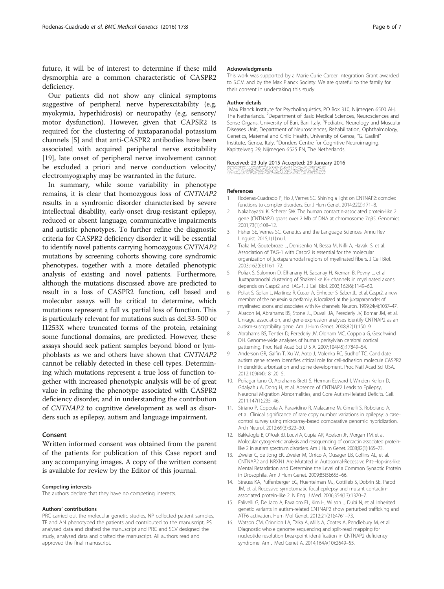<span id="page-5-0"></span>future, it will be of interest to determine if these mild dysmorphia are a common characteristic of CASPR2 deficiency.

Our patients did not show any clinical symptoms suggestive of peripheral nerve hyperexcitability (e.g. myokymia, hyperhidrosis) or neuropathy (e.g. sensory/ motor dysfunction). However, given that CAPSR2 is required for the clustering of juxtaparanodal potassium channels [5] and that anti-CASPR2 antibodies have been associated with acquired peripheral nerve excitability [[19\]](#page--1-0), late onset of peripheral nerve involvement cannot be excluded a priori and nerve conduction velocity/ electromyography may be warranted in the future.

In summary, while some variability in phenotype remains, it is clear that homozygous loss of CNTNAP2 results in a syndromic disorder characterised by severe intellectual disability, early-onset drug-resistant epilepsy, reduced or absent language, communicative impairments and autistic phenotypes. To further refine the diagnostic criteria for CASPR2 deficiency disorder it will be essential to identify novel patients carrying homozygous CNTNAP2 mutations by screening cohorts showing core syndromic phenotypes, together with a more detailed phenotypic analysis of existing and novel patients. Furthermore, although the mutations discussed above are predicted to result in a loss of CASPR2 function, cell based and molecular assays will be critical to determine, which mutations represent a full vs. partial loss of function. This is particularly relevant for mutations such as del.33-500 or I1253X where truncated forms of the protein, retaining some functional domains, are predicted. However, these assays should seek patient samples beyond blood or lymphoblasts as we and others have shown that CNTNAP2 cannot be reliably detected in these cell types. Determining which mutations represent a true loss of function together with increased phenotypic analysis will be of great value in refining the phenotype associated with CASPR2 deficiency disorder, and in understanding the contribution of CNTNAP2 to cognitive development as well as disorders such as epilepsy, autism and language impairment.

#### Consent

Written informed consent was obtained from the parent of the patients for publication of this Case report and any accompanying images. A copy of the written consent is available for review by the Editor of this journal.

#### Competing interests

The authors declare that they have no competing interests.

#### Authors' contributions

PRC carried out the molecular genetic studies, NP collected patient samples, TF and AN phenotyped the patients and contributed to the manuscript, PS analysed data and drafted the manuscript and PRC and SCV designed the study, analysed data and drafted the manuscript. All authors read and approved the final manuscript.

#### Acknowledgments

This work was supported by a Marie Curie Career Integration Grant awarded to S.C.V. and by the Max Planck Society. We are grateful to the family for their consent in undertaking this study.

#### Author details

<sup>1</sup>Max Planck Institute for Psycholinguistics, PO Box 310, Nijmegen 6500 AH, The Netherlands. <sup>2</sup>Department of Basic Medical Sciences, Neurosciences and Sense Organs, University of Bari, Bari, Italy. <sup>3</sup>Pediatric Neurology and Muscular Diseases Unit, Department of Neurosciences, Rehabilitation, Ophthalmology, Genetics, Maternal and Child Health, University of Genoa, "G. Gaslini" Institute, Genoa, Italy. <sup>4</sup>Donders Centre for Cognitive Neuroimaging, Kapittelweg 29, Nijmegen 6525 EN, The Netherlands.

#### Received: 23 July 2015 Accepted: 29 January 2016

AT THE REPORT OF STREET

#### References

- 1. Rodenas-Cuadrado P, Ho J, Vernes SC. Shining a light on CNTNAP2: complex functions to complex disorders. Eur J Hum Genet. 2014;22(2):171–8.
- 2. Nakabayashi K, Scherer SW. The human contactin-associated protein-like 2 gene (CNTNAP2) spans over 2 Mb of DNA at chromosome 7q35. Genomics. 2001;73(1):108–12.
- 3. Fisher SE, Vernes SC. Genetics and the Language Sciences. Annu Rev Linguist. 2015;1(1):null.
- 4. Traka M, Goutebroze L, Denisenko N, Bessa M, Nifli A, Havaki S, et al. Association of TAG-1 with Caspr2 is essential for the molecular organization of juxtaparanodal regions of myelinated fibers. J Cell Biol. 2003;162(6):1161–72.
- 5. Poliak S, Salomon D, Elhanany H, Sabanay H, Kiernan B, Pevny L, et al. Juxtaparanodal clustering of Shaker-like K+ channels in myelinated axons depends on Caspr2 and TAG-1. J Cell Biol. 2003;162(6):1149–60.
- 6. Poliak S, Gollan L, Martinez R, Custer A, Einheber S, Salzer JL, et al. Caspr2, a new member of the neurexin superfamily, is localized at the juxtaparanodes of myelinated axons and associates with K+ channels. Neuron. 1999;24(4):1037–47.
- 7. Alarcon M, Abrahams BS, Stone JL, Duvall JA, Perederiy JV, Bomar JM, et al. Linkage, association, and gene-expression analyses identify CNTNAP2 as an autism-susceptibility gene. Am J Hum Genet. 2008;82(1):150–9.
- Abrahams BS, Tentler D, Perederiy JV, Oldham MC, Coppola G, Geschwind DH. Genome-wide analyses of human perisylvian cerebral cortical patterning. Proc Natl Acad Sci U S A. 2007;104(45):17849–54.
- 9. Anderson GR, Galfin T, Xu W, Aoto J, Malenka RC, Sudhof TC. Candidate autism gene screen identifies critical role for cell-adhesion molecule CASPR2 in dendritic arborization and spine development. Proc Natl Acad Sci USA. 2012;109(44):18120–5.
- 10. Peñagarikano O, Abrahams Brett S, Herman Edward I, Winden Kellen D, Gdalyahu A, Dong H, et al. Absence of CNTNAP2 Leads to Epilepsy, Neuronal Migration Abnormalities, and Core Autism-Related Deficits. Cell. 2011;147(1):235–46.
- 11. Striano P, Coppola A, Paravidino R, Malacarne M, Gimelli S, Robbiano A, et al. Clinical significance of rare copy number variations in epilepsy: a case– control survey using microarray-based comparative genomic hybridization. Arch Neurol. 2012;69(3):322–30.
- 12. Bakkaloglu B, O'Roak BJ, Louvi A, Gupta AR, Abelson JF, Morgan TM, et al. Molecular cytogenetic analysis and resequencing of contactin associated proteinlike 2 in autism spectrum disorders. Am J Hum Genet. 2008;82(1):165–73.
- 13. Zweier C, de Jong EK, Zweier M, Orrico A, Ousager LB, Collins AL, et al. CNTNAP2 and NRXN1 Are Mutated in Autosomal-Recessive Pitt-Hopkins-like Mental Retardation and Determine the Level of a Common Synaptic Protein in Drosophila. Am J Hum Genet. 2009;85(5):655–66.
- 14. Strauss KA, Puffenberger EG, Huentelman MJ, Gottlieb S, Dobrin SE, Parod JM, et al. Recessive symptomatic focal epilepsy and mutant contactinassociated protein-like 2. N Engl J Med. 2006;354(13):1370–7.
- 15. Falivelli G, De Jaco A, Favaloro FL, Kim H, Wilson J, Dubi N, et al. Inherited genetic variants in autism-related CNTNAP2 show perturbed trafficking and ATF6 activation. Hum Mol Genet. 2012;21(21):4761–73.
- 16. Watson CM, Crinnion LA, Tzika A, Mills A, Coates A, Pendlebury M, et al. Diagnostic whole genome sequencing and split-read mapping for nucleotide resolution breakpoint identification in CNTNAP2 deficiency syndrome. Am J Med Genet A. 2014;164A(10):2649–55.